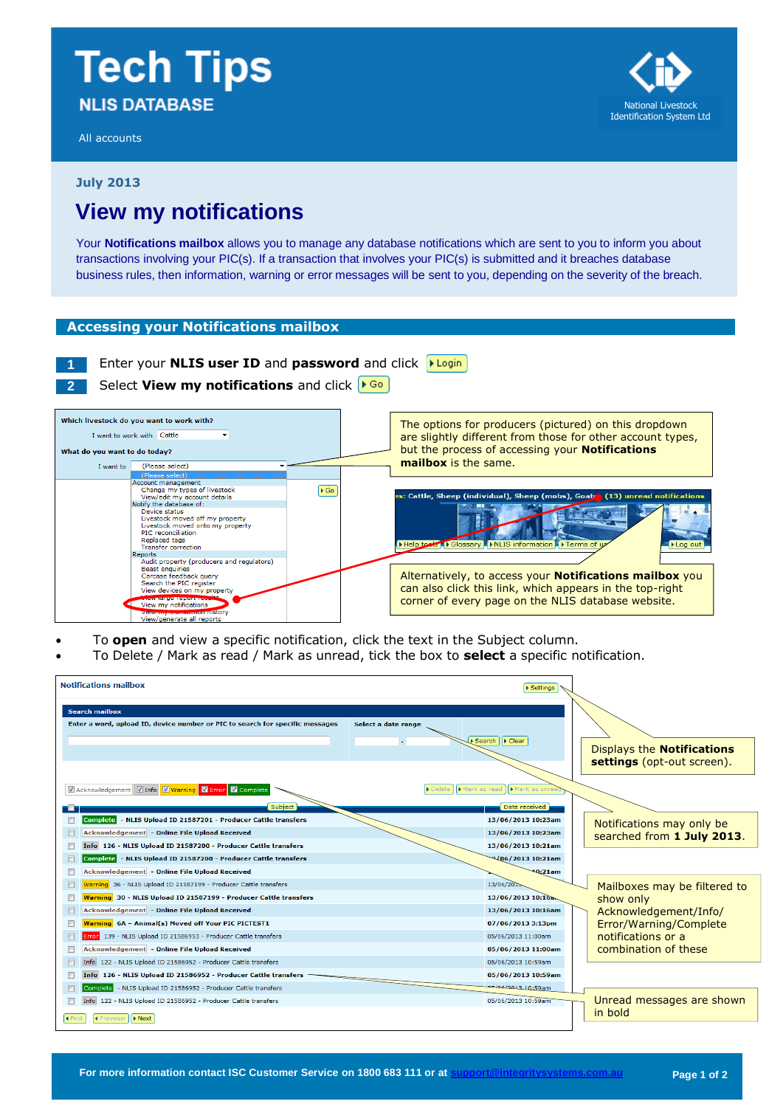# **Tech Tips NLIS DATABASE**

All accounts



**July 2013**

# **View my notifications**

Your **Notifications mailbox** allows you to manage any database notifications which are sent to you to inform you about transactions involving your PIC(s). If a transaction that involves your PIC(s) is submitted and it breaches database business rules, then information, warning or error messages will be sent to you, depending on the severity of the breach.

## **Accessing your Notifications mailbox**

# **1** Enter your **NLIS user ID** and **password** and click

**2** Select **View my notifications** and click



- To **open** and view a specific notification, click the text in the Subject column.
- To Delete / Mark as read / Mark as unread, tick the box to **select** a specific notification.